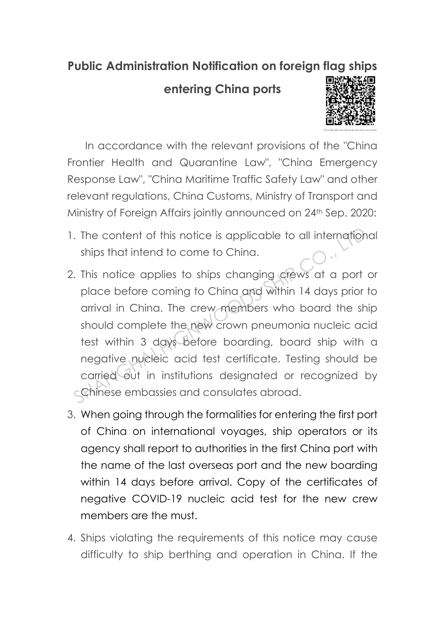## **Public Administration Notification on foreign flag ships**

## **entering China ports**



In accordance with the relevant provisions of the "China Frontier Health and Quarantine Law", "China Emergency Response Law", "China Maritime Traffic Safety Law" and other relevant regulations, China Customs, Ministry of Transport and Ministry of Foreign Affairs jointly announced on 24th Sep. 2020:

- 1. The content of this notice is applicable to all international ships that intend to come to China.
- 2. This notice applies to ships changing crews at a port or place before coming to China and within 14 days prior to arrival in China. The crew members who board the ship should complete the new crown pneumonia nucleic acid test within 3 days before boarding, board ship with a negative nucleic acid test certificate. Testing should be carried out in institutions designated or recognized by Chinese embassies and consulates abroad. The content of this notice is applicable to all international<br>
Ships that intend to come to China.<br>
This notice applies to ships changing crews at a port of<br>
place before coming to China and within 14 days prior t<br>
arrival
- 3. When going through the formalities for entering the first port of China on international voyages, ship operators or its agency shall report to authorities in the first China port with the name of the last overseas port and the new boarding within 14 days before arrival. Copy of the certificates of negative COVID-19 nucleic acid test for the new crew members are the must.
- 4. Ships violating the requirements of this notice may cause difficulty to ship berthing and operation in China. If the